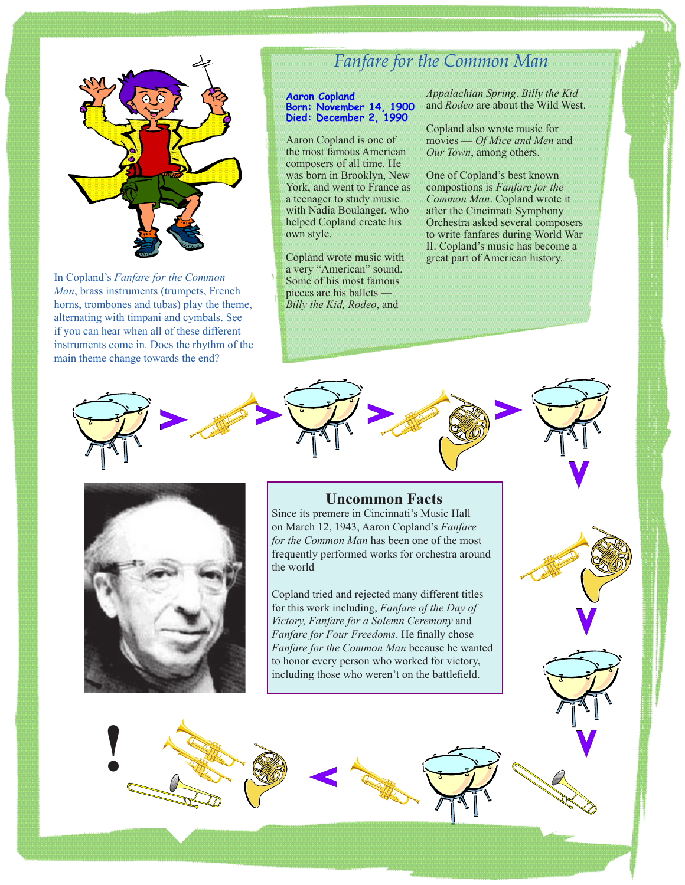

In Copland's *Fanfare for the Common Man*, brass instruments (trumpets, French horns, trombones and tubas) play the theme, alternating with timpani and cymbals. See if you can hear when all of these different instruments come in. Does the rhythm of the main theme change towards the end?

# *Fanfare for the Common Man*

#### **Aaron Copland Born: November 14, 1900 Died: December 2, 1990**

Aaron Copland is one of the most famous American composers of all time. He was born in Brooklyn, New York, and went to France as a teenager to study music with Nadia Boulanger, who helped Copland create his own style.

Copland wrote music with a very "American" sound. Some of his most famous pieces are his ballets — *Billy the Kid, Rodeo*, and

*Appalachian Spring*. *Billy the Kid*  and *Rodeo* are about the Wild West.

Copland also wrote music for movies — *Of Mice and Men* and *Our Town*, among others.

One of Copland's best known compostions is *Fanfare for the Common Man*. Copland wrote it after the Cincinnati Symphony Orchestra asked several composers to write fanfares during World War II. Copland's music has become a great part of American history.



**!**

# **Uncommon Facts**

Since its premere in Cincinnati's Music Hall on March 12, 1943, Aaron Copland's *Fanfare for the Common Man* has been one of the most frequently performed works for orchestra around the world

Copland tried and rejected many different titles for this work including, *Fanfare of the Day of Victory, Fanfare for a Solemn Ceremony* and *Fanfare for Four Freedoms*. He finally chose *Fanfare for the Common Man* because he wanted to honor every person who worked for victory, including those who weren't on the battlefield.